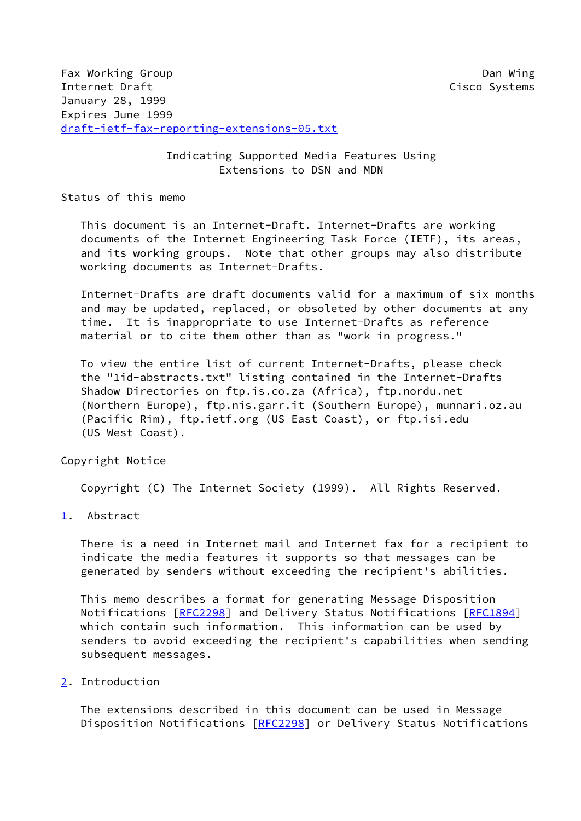## Indicating Supported Media Features Using Extensions to DSN and MDN

Status of this memo

 This document is an Internet-Draft. Internet-Drafts are working documents of the Internet Engineering Task Force (IETF), its areas, and its working groups. Note that other groups may also distribute working documents as Internet-Drafts.

 Internet-Drafts are draft documents valid for a maximum of six months and may be updated, replaced, or obsoleted by other documents at any time. It is inappropriate to use Internet-Drafts as reference material or to cite them other than as "work in progress."

 To view the entire list of current Internet-Drafts, please check the "1id-abstracts.txt" listing contained in the Internet-Drafts Shadow Directories on ftp.is.co.za (Africa), ftp.nordu.net (Northern Europe), ftp.nis.garr.it (Southern Europe), munnari.oz.au (Pacific Rim), ftp.ietf.org (US East Coast), or ftp.isi.edu (US West Coast).

Copyright Notice

Copyright (C) The Internet Society (1999). All Rights Reserved.

<span id="page-0-0"></span>[1](#page-0-0). Abstract

 There is a need in Internet mail and Internet fax for a recipient to indicate the media features it supports so that messages can be generated by senders without exceeding the recipient's abilities.

 This memo describes a format for generating Message Disposition Notifications [[RFC2298](https://datatracker.ietf.org/doc/pdf/rfc2298)] and Delivery Status Notifications [[RFC1894](https://datatracker.ietf.org/doc/pdf/rfc1894)] which contain such information. This information can be used by senders to avoid exceeding the recipient's capabilities when sending subsequent messages.

<span id="page-0-1"></span>[2](#page-0-1). Introduction

 The extensions described in this document can be used in Message Disposition Notifications [[RFC2298](https://datatracker.ietf.org/doc/pdf/rfc2298)] or Delivery Status Notifications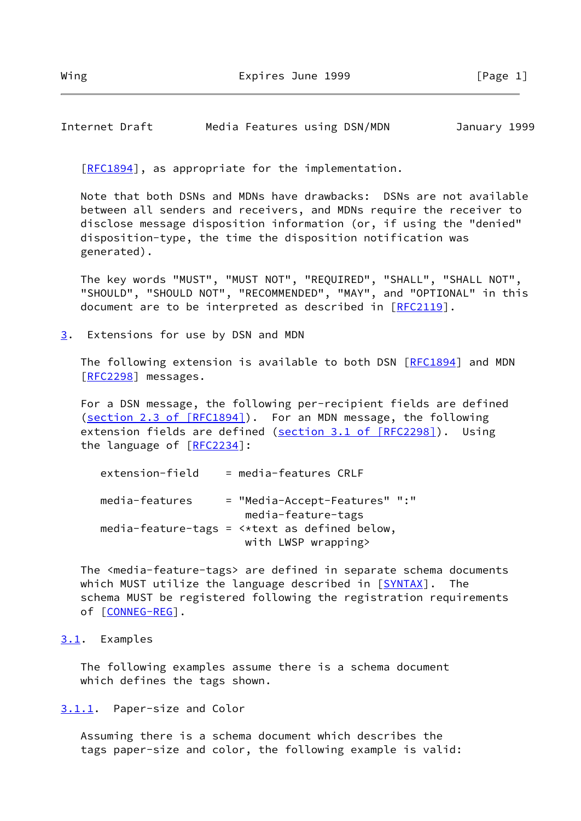Internet Draft Media Features using DSN/MDN January 1999

[\[RFC1894](https://datatracker.ietf.org/doc/pdf/rfc1894)], as appropriate for the implementation.

 Note that both DSNs and MDNs have drawbacks: DSNs are not available between all senders and receivers, and MDNs require the receiver to disclose message disposition information (or, if using the "denied" disposition-type, the time the disposition notification was generated).

 The key words "MUST", "MUST NOT", "REQUIRED", "SHALL", "SHALL NOT", "SHOULD", "SHOULD NOT", "RECOMMENDED", "MAY", and "OPTIONAL" in this document are to be interpreted as described in [\[RFC2119](https://datatracker.ietf.org/doc/pdf/rfc2119)].

<span id="page-1-0"></span>[3](#page-1-0). Extensions for use by DSN and MDN

The following extension is available to both DSN [\[RFC1894](https://datatracker.ietf.org/doc/pdf/rfc1894)] and MDN [\[RFC2298](https://datatracker.ietf.org/doc/pdf/rfc2298)] messages.

 For a DSN message, the following per-recipient fields are defined (section [2.3 of \[RFC1894\]](https://datatracker.ietf.org/doc/pdf/rfc1894#section-2.3)). For an MDN message, the following extension fields are defined (section [3.1 of \[RFC2298\]](https://datatracker.ietf.org/doc/pdf/rfc2298#section-3.1)). Using the language of [\[RFC2234](https://datatracker.ietf.org/doc/pdf/rfc2234)]:

| extension-field | $=$ media-features CRLF                                       |
|-----------------|---------------------------------------------------------------|
| media-features  | = "Media-Accept-Features" ":"<br>media-feature-tags           |
|                 | media-feature-tags = $\leftrightarrow$ text as defined below, |
|                 | with LWSP wrapping>                                           |

 The <media-feature-tags> are defined in separate schema documents which MUST utilize the language described in  $[SYNTAX]$  $[SYNTAX]$ . The schema MUST be registered following the registration requirements of [[CONNEG-REG\]](#page-2-0).

## <span id="page-1-1"></span>[3.1](#page-1-1). Examples

 The following examples assume there is a schema document which defines the tags shown.

<span id="page-1-2"></span>[3.1.1](#page-1-2). Paper-size and Color

 Assuming there is a schema document which describes the tags paper-size and color, the following example is valid: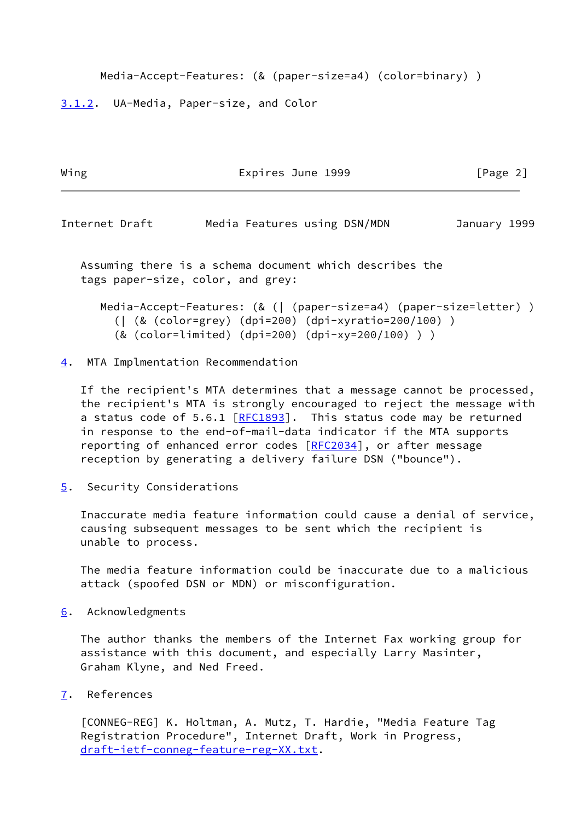Media-Accept-Features: (& (paper-size=a4) (color=binary) )

<span id="page-2-1"></span>[3.1.2](#page-2-1). UA-Media, Paper-size, and Color

| Wing           | Expires June 1999            | [Page 2]     |
|----------------|------------------------------|--------------|
|                |                              |              |
| Internet Draft | Media Features using DSN/MDN | January 1999 |

 Assuming there is a schema document which describes the tags paper-size, color, and grey:

```
 Media-Accept-Features: (& (| (paper-size=a4) (paper-size=letter) )
(| (& (color=grey) (dpi=200) (dpi-xyratio=200/100) )
(& (color=limited) (dpi=200) (dpi-xy=200/100) ) )
```
## <span id="page-2-2"></span>[4](#page-2-2). MTA Implmentation Recommendation

 If the recipient's MTA determines that a message cannot be processed, the recipient's MTA is strongly encouraged to reject the message with a status code of 5.6.1 [\[RFC1893](https://datatracker.ietf.org/doc/pdf/rfc1893)]. This status code may be returned in response to the end-of-mail-data indicator if the MTA supports reporting of enhanced error codes [[RFC2034](https://datatracker.ietf.org/doc/pdf/rfc2034)], or after message reception by generating a delivery failure DSN ("bounce").

<span id="page-2-3"></span>[5](#page-2-3). Security Considerations

 Inaccurate media feature information could cause a denial of service, causing subsequent messages to be sent which the recipient is unable to process.

 The media feature information could be inaccurate due to a malicious attack (spoofed DSN or MDN) or misconfiguration.

<span id="page-2-4"></span>[6](#page-2-4). Acknowledgments

 The author thanks the members of the Internet Fax working group for assistance with this document, and especially Larry Masinter, Graham Klyne, and Ned Freed.

<span id="page-2-5"></span>[7](#page-2-5). References

<span id="page-2-0"></span> [CONNEG-REG] K. Holtman, A. Mutz, T. Hardie, "Media Feature Tag Registration Procedure", Internet Draft, Work in Progress, [draft-ietf-conneg-feature-reg-XX.txt](https://datatracker.ietf.org/doc/pdf/draft-ietf-conneg-feature-reg-XX.txt).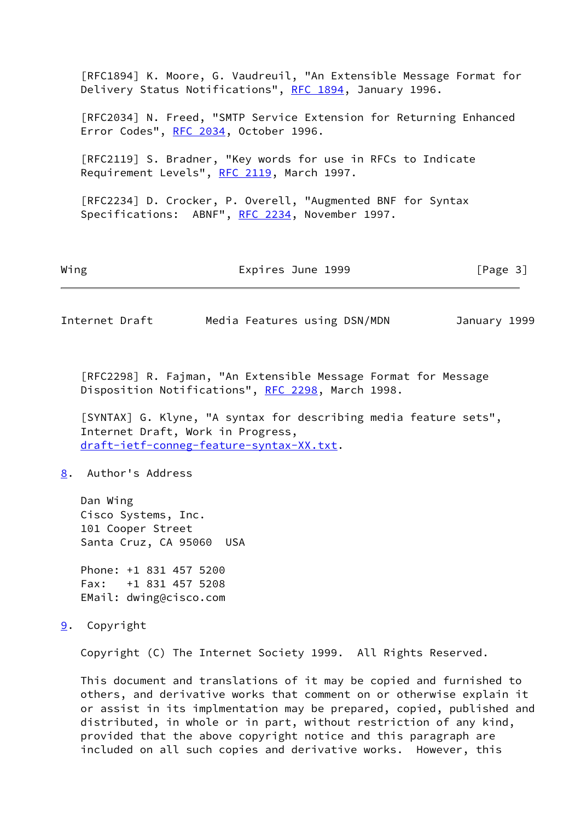|                                                                                                                | Internet Draft                                                                                                                 | Media Features using DSN/MDN               |                                                              | January 1999 |                                |  |  |  |  |
|----------------------------------------------------------------------------------------------------------------|--------------------------------------------------------------------------------------------------------------------------------|--------------------------------------------|--------------------------------------------------------------|--------------|--------------------------------|--|--|--|--|
| Wing                                                                                                           |                                                                                                                                | Expires June 1999                          |                                                              |              | $\lceil \text{Page } 3 \rceil$ |  |  |  |  |
| [RFC2234] D. Crocker, P. Overell, "Augmented BNF for Syntax<br>Specifications: ABNF", RFC 2234, November 1997. |                                                                                                                                |                                            |                                                              |              |                                |  |  |  |  |
|                                                                                                                |                                                                                                                                | Requirement Levels", RFC 2119, March 1997. | [RFC2119] S. Bradner, "Key words for use in RFCs to Indicate |              |                                |  |  |  |  |
|                                                                                                                | [RFC2034] N. Freed, "SMTP Service Extension for Returning Enhanced<br>Error Codes", RFC 2034, October 1996.                    |                                            |                                                              |              |                                |  |  |  |  |
|                                                                                                                | [RFC1894] K. Moore, G. Vaudreuil, "An Extensible Message Format for<br>Delivery Status Notifications", RFC 1894, January 1996. |                                            |                                                              |              |                                |  |  |  |  |

 [RFC2298] R. Fajman, "An Extensible Message Format for Message Disposition Notifications", [RFC 2298,](https://datatracker.ietf.org/doc/pdf/rfc2298) March 1998.

<span id="page-3-0"></span> [SYNTAX] G. Klyne, "A syntax for describing media feature sets", Internet Draft, Work in Progress, [draft-ietf-conneg-feature-syntax-XX.txt](https://datatracker.ietf.org/doc/pdf/draft-ietf-conneg-feature-syntax-XX.txt).

<span id="page-3-1"></span>[8](#page-3-1). Author's Address

 Dan Wing Cisco Systems, Inc. 101 Cooper Street Santa Cruz, CA 95060 USA

 Phone: +1 831 457 5200 Fax: +1 831 457 5208 EMail: dwing@cisco.com

<span id="page-3-2"></span>[9](#page-3-2). Copyright

Copyright (C) The Internet Society 1999. All Rights Reserved.

 This document and translations of it may be copied and furnished to others, and derivative works that comment on or otherwise explain it or assist in its implmentation may be prepared, copied, published and distributed, in whole or in part, without restriction of any kind, provided that the above copyright notice and this paragraph are included on all such copies and derivative works. However, this